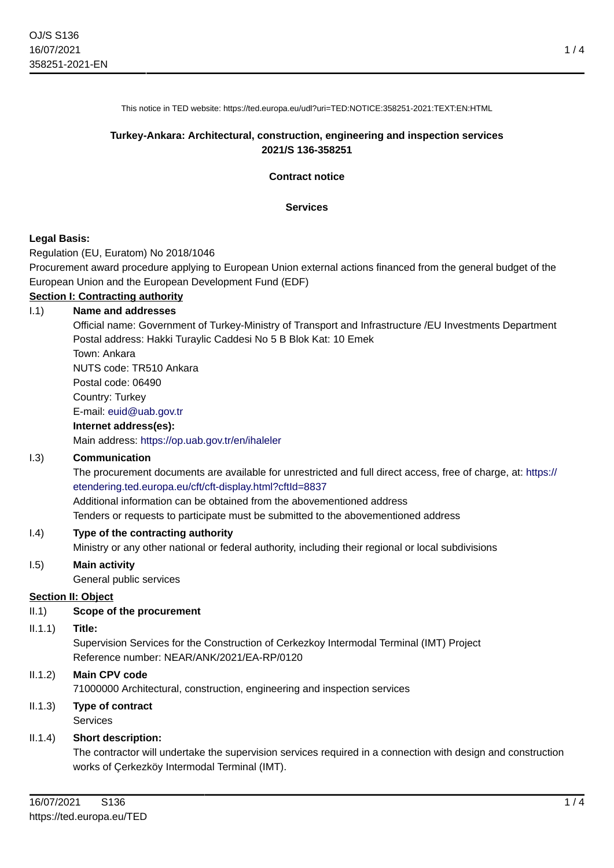1 / 4

This notice in TED website: https://ted.europa.eu/udl?uri=TED:NOTICE:358251-2021:TEXT:EN:HTML

## **Turkey-Ankara: Architectural, construction, engineering and inspection services 2021/S 136-358251**

**Contract notice**

#### **Services**

### **Legal Basis:**

Regulation (EU, Euratom) No 2018/1046

Procurement award procedure applying to European Union external actions financed from the general budget of the European Union and the European Development Fund (EDF)

## **Section I: Contracting authority**

#### I.1) **Name and addresses**

Official name: Government of Turkey-Ministry of Transport and Infrastructure /EU Investments Department Postal address: Hakki Turaylic Caddesi No 5 B Blok Kat: 10 Emek

Town: Ankara NUTS code: TR510 Ankara

Postal code: 06490

Country: Turkey

E-mail: [euid@uab.gov.tr](mailto:euid@uab.gov.tr)

#### **Internet address(es):**

Main address:<https://op.uab.gov.tr/en/ihaleler>

### I.3) **Communication**

The procurement documents are available for unrestricted and full direct access, free of charge, at: [https://](https://etendering.ted.europa.eu/cft/cft-display.html?cftId=8837) [etendering.ted.europa.eu/cft/cft-display.html?cftId=8837](https://etendering.ted.europa.eu/cft/cft-display.html?cftId=8837)

Additional information can be obtained from the abovementioned address

Tenders or requests to participate must be submitted to the abovementioned address

### I.4) **Type of the contracting authority**

Ministry or any other national or federal authority, including their regional or local subdivisions

### I.5) **Main activity**

General public services

### **Section II: Object**

### II.1) **Scope of the procurement**

II.1.1) **Title:**

Supervision Services for the Construction of Cerkezkoy Intermodal Terminal (IMT) Project Reference number: NEAR/ANK/2021/EA-RP/0120

### II.1.2) **Main CPV code**

71000000 Architectural, construction, engineering and inspection services

## II.1.3) **Type of contract** Services

### II.1.4) **Short description:**

The contractor will undertake the supervision services required in a connection with design and construction works of Çerkezköy Intermodal Terminal (IMT).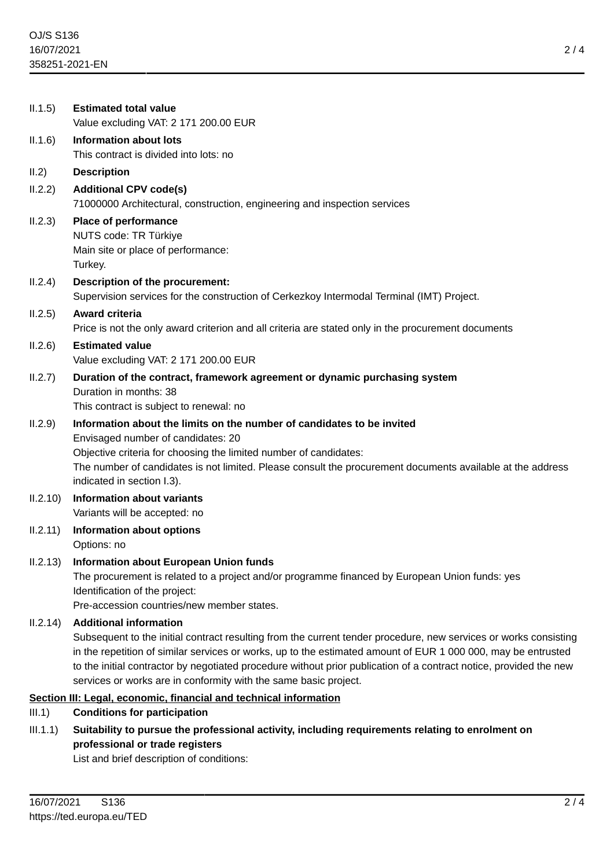| II.1.5)  | <b>Estimated total value</b><br>Value excluding VAT: 2 171 200.00 EUR                                                                                                                                                                                                                                                                                                                                                                                        |
|----------|--------------------------------------------------------------------------------------------------------------------------------------------------------------------------------------------------------------------------------------------------------------------------------------------------------------------------------------------------------------------------------------------------------------------------------------------------------------|
| II.1.6)  | <b>Information about lots</b><br>This contract is divided into lots: no                                                                                                                                                                                                                                                                                                                                                                                      |
| II.2)    | <b>Description</b>                                                                                                                                                                                                                                                                                                                                                                                                                                           |
| II.2.2)  | <b>Additional CPV code(s)</b><br>71000000 Architectural, construction, engineering and inspection services                                                                                                                                                                                                                                                                                                                                                   |
| II.2.3)  | <b>Place of performance</b><br>NUTS code: TR Türkiye<br>Main site or place of performance:<br>Turkey.                                                                                                                                                                                                                                                                                                                                                        |
| II.2.4)  | Description of the procurement:<br>Supervision services for the construction of Cerkezkoy Intermodal Terminal (IMT) Project.                                                                                                                                                                                                                                                                                                                                 |
| II.2.5)  | <b>Award criteria</b><br>Price is not the only award criterion and all criteria are stated only in the procurement documents                                                                                                                                                                                                                                                                                                                                 |
| II.2.6)  | <b>Estimated value</b><br>Value excluding VAT: 2 171 200.00 EUR                                                                                                                                                                                                                                                                                                                                                                                              |
| II.2.7)  | Duration of the contract, framework agreement or dynamic purchasing system<br>Duration in months: 38<br>This contract is subject to renewal: no                                                                                                                                                                                                                                                                                                              |
| II.2.9)  | Information about the limits on the number of candidates to be invited<br>Envisaged number of candidates: 20<br>Objective criteria for choosing the limited number of candidates:<br>The number of candidates is not limited. Please consult the procurement documents available at the address<br>indicated in section I.3).                                                                                                                                |
| II.2.10) | <b>Information about variants</b><br>Variants will be accepted: no                                                                                                                                                                                                                                                                                                                                                                                           |
| II.2.11) | <b>Information about options</b><br>Options: no                                                                                                                                                                                                                                                                                                                                                                                                              |
| II.2.13) | <b>Information about European Union funds</b><br>The procurement is related to a project and/or programme financed by European Union funds: yes<br>Identification of the project:<br>Pre-accession countries/new member states.                                                                                                                                                                                                                              |
| II.2.14) | <b>Additional information</b><br>Subsequent to the initial contract resulting from the current tender procedure, new services or works consisting<br>in the repetition of similar services or works, up to the estimated amount of EUR 1 000 000, may be entrusted<br>to the initial contractor by negotiated procedure without prior publication of a contract notice, provided the new<br>services or works are in conformity with the same basic project. |
|          | Section III: Legal, economic, financial and technical information                                                                                                                                                                                                                                                                                                                                                                                            |
| III.1)   | <b>Conditions for participation</b>                                                                                                                                                                                                                                                                                                                                                                                                                          |
| III.1.1) | Suitability to pursue the professional activity, including requirements relating to enrolment on<br>professional or trade registers<br>List and brief description of conditions:                                                                                                                                                                                                                                                                             |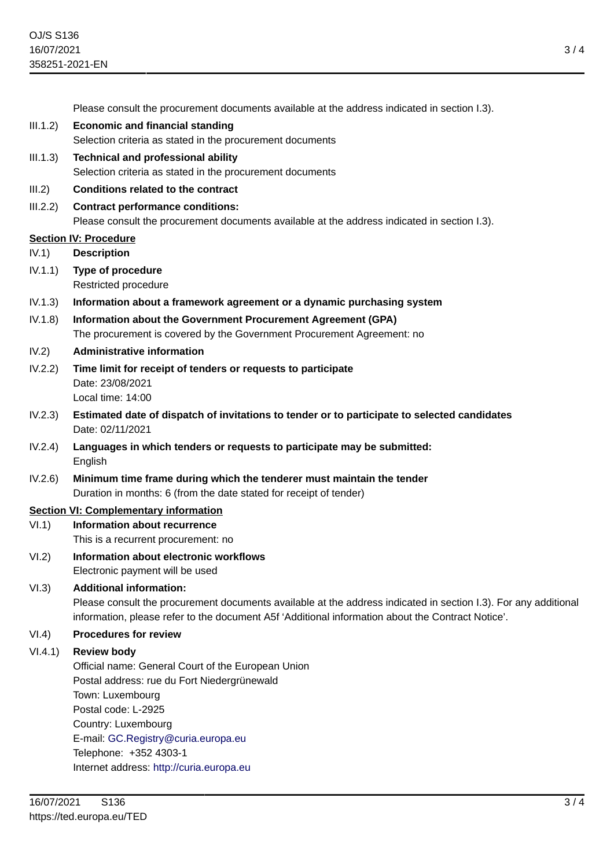Please consult the procurement documents available at the address indicated in section I.3).

- III.1.2) **Economic and financial standing** Selection criteria as stated in the procurement documents
- III.1.3) **Technical and professional ability** Selection criteria as stated in the procurement documents

#### III.2) **Conditions related to the contract**

III.2.2) **Contract performance conditions:** Please consult the procurement documents available at the address indicated in section I.3).

#### **Section IV: Procedure**

- IV.1) **Description**
- IV.1.1) **Type of procedure** Restricted procedure
- IV.1.3) **Information about a framework agreement or a dynamic purchasing system**
- IV.1.8) **Information about the Government Procurement Agreement (GPA)** The procurement is covered by the Government Procurement Agreement: no
- IV.2) **Administrative information**
- IV.2.2) **Time limit for receipt of tenders or requests to participate** Date: 23/08/2021 Local time: 14:00
- IV.2.3) **Estimated date of dispatch of invitations to tender or to participate to selected candidates** Date: 02/11/2021
- IV.2.4) **Languages in which tenders or requests to participate may be submitted: English**
- IV.2.6) **Minimum time frame during which the tenderer must maintain the tender** Duration in months: 6 (from the date stated for receipt of tender)

## **Section VI: Complementary information**

- VI.1) **Information about recurrence** This is a recurrent procurement: no
- VI.2) **Information about electronic workflows** Electronic payment will be used

### VI.3) **Additional information:**

Please consult the procurement documents available at the address indicated in section I.3). For any additional information, please refer to the document A5f 'Additional information about the Contract Notice'.

## VI.4) **Procedures for review**

#### VI.4.1) **Review body**

Official name: General Court of the European Union Postal address: rue du Fort Niedergrünewald Town: Luxembourg Postal code: L-2925 Country: Luxembourg E-mail: [GC.Registry@curia.europa.eu](mailto:GC.Registry@curia.europa.eu) Telephone: +352 4303-1 Internet address: <http://curia.europa.eu>